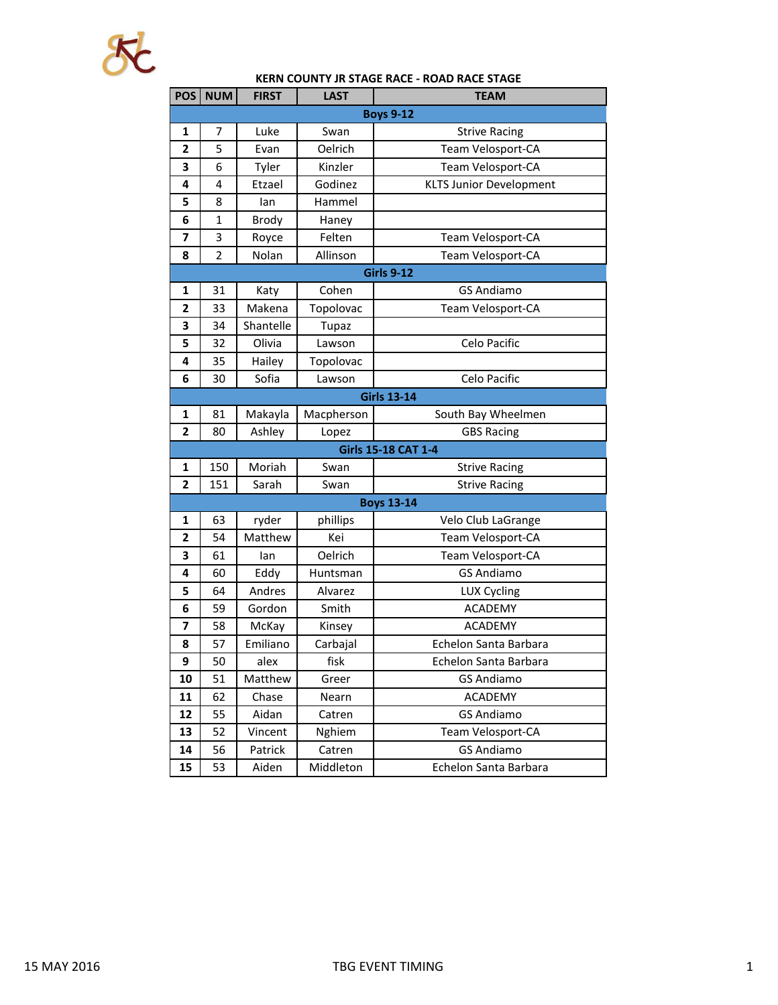

## **KERN COUNTY JR STAGE RACE - ROAD RACE STAGE**

| POS <sup>I</sup> | <b>NUM</b>       | <b>FIRST</b> | <b>LAST</b> | <b>TEAM</b>                    |  |  |  |  |
|------------------|------------------|--------------|-------------|--------------------------------|--|--|--|--|
|                  | <b>Boys 9-12</b> |              |             |                                |  |  |  |  |
| 1                | 7                | Luke         | Swan        | <b>Strive Racing</b>           |  |  |  |  |
| $\overline{2}$   | 5                | Evan         | Oelrich     | Team Velosport-CA              |  |  |  |  |
| 3                | 6                | Tyler        | Kinzler     | Team Velosport-CA              |  |  |  |  |
| 4                | 4                | Etzael       | Godinez     | <b>KLTS Junior Development</b> |  |  |  |  |
| 5                | 8                | lan          | Hammel      |                                |  |  |  |  |
| 6                | 1                | Brody        | Haney       |                                |  |  |  |  |
| 7                | 3                | Royce        | Felten      | Team Velosport-CA              |  |  |  |  |
| 8                | $\overline{2}$   | Nolan        | Allinson    | Team Velosport-CA              |  |  |  |  |
|                  |                  |              |             | <b>Girls 9-12</b>              |  |  |  |  |
| 1                | 31               | Katy         | Cohen       | <b>GS Andiamo</b>              |  |  |  |  |
| 2                | 33               | Makena       | Topolovac   | Team Velosport-CA              |  |  |  |  |
| 3                | 34               | Shantelle    | Tupaz       |                                |  |  |  |  |
| 5                | 32               | Olivia       | Lawson      | Celo Pacific                   |  |  |  |  |
| 4                | 35               | Hailey       | Topolovac   |                                |  |  |  |  |
| 6                | 30               | Sofia        | Lawson      | Celo Pacific                   |  |  |  |  |
|                  |                  |              |             | <b>Girls 13-14</b>             |  |  |  |  |
| 1                | 81               | Makayla      | Macpherson  | South Bay Wheelmen             |  |  |  |  |
| 2                | 80               | Ashley       | Lopez       | <b>GBS Racing</b>              |  |  |  |  |
|                  |                  |              |             | Girls 15-18 CAT 1-4            |  |  |  |  |
| 1                | 150              | Moriah       | Swan        | <b>Strive Racing</b>           |  |  |  |  |
| 2                | 151              | Sarah        | Swan        | <b>Strive Racing</b>           |  |  |  |  |
|                  |                  |              |             | <b>Boys 13-14</b>              |  |  |  |  |
| 1                | 63               | ryder        | phillips    | Velo Club LaGrange             |  |  |  |  |
| $\overline{2}$   | 54               | Matthew      | Kei         | Team Velosport-CA              |  |  |  |  |
| 3                | 61               | lan          | Oelrich     | Team Velosport-CA              |  |  |  |  |
| 4                | 60               | Eddy         | Huntsman    | <b>GS Andiamo</b>              |  |  |  |  |
| 5                | 64               | Andres       | Alvarez     | <b>LUX Cycling</b>             |  |  |  |  |
| 6                | 59               | Gordon       | Smith       | <b>ACADEMY</b>                 |  |  |  |  |
| 7                | 58               | McKay        | Kinsey      | <b>ACADEMY</b>                 |  |  |  |  |
| 8                | 57               | Emiliano     | Carbajal    | Echelon Santa Barbara          |  |  |  |  |
| 9                | 50               | alex         | fisk        | Echelon Santa Barbara          |  |  |  |  |
| 10               | 51               | Matthew      | Greer       | <b>GS Andiamo</b>              |  |  |  |  |
| 11               | 62               | Chase        | Nearn       | <b>ACADEMY</b>                 |  |  |  |  |
| 12               | 55               | Aidan        | Catren      | <b>GS Andiamo</b>              |  |  |  |  |
| 13               | 52               | Vincent      | Nghiem      | Team Velosport-CA              |  |  |  |  |
| 14               | 56               | Patrick      | Catren      | <b>GS Andiamo</b>              |  |  |  |  |
| 15               | 53               | Aiden        | Middleton   | Echelon Santa Barbara          |  |  |  |  |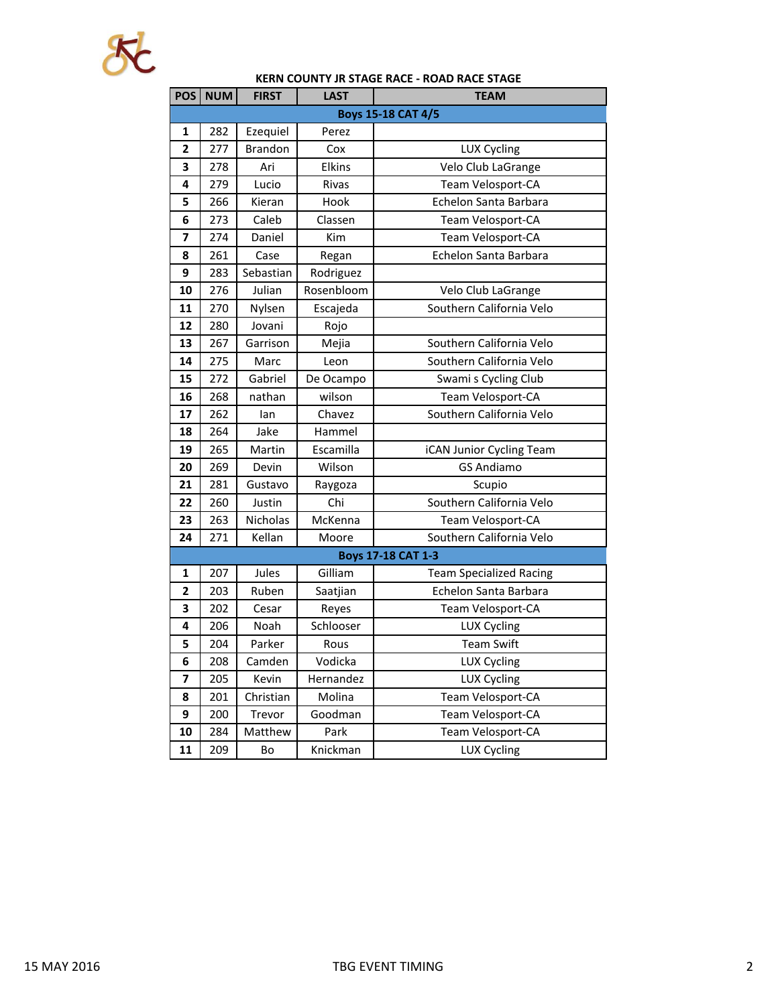

## **KERN COUNTY JR STAGE RACE - ROAD RACE STAGE**

| POS                       | <b>NUM</b> | <b>FIRST</b>   | LAST       | <b>TEAM</b>                    |  |  |  |
|---------------------------|------------|----------------|------------|--------------------------------|--|--|--|
| <b>Boys 15-18 CAT 4/5</b> |            |                |            |                                |  |  |  |
| $\mathbf{1}$              | 282        | Ezequiel       | Perez      |                                |  |  |  |
| 2                         | 277        | <b>Brandon</b> | Cox        | <b>LUX Cycling</b>             |  |  |  |
| 3                         | 278        | Ari            | Elkins     | Velo Club LaGrange             |  |  |  |
| 4                         | 279        | Lucio          | Rivas      | Team Velosport-CA              |  |  |  |
| 5                         | 266        | Kieran         | Hook       | Echelon Santa Barbara          |  |  |  |
| 6                         | 273        | Caleb          | Classen    | Team Velosport-CA              |  |  |  |
| $\overline{\mathbf{z}}$   | 274        | Daniel         | Kim        | Team Velosport-CA              |  |  |  |
| 8                         | 261        | Case           | Regan      | Echelon Santa Barbara          |  |  |  |
| 9                         | 283        | Sebastian      | Rodriguez  |                                |  |  |  |
| 10                        | 276        | Julian         | Rosenbloom | Velo Club LaGrange             |  |  |  |
| 11                        | 270        | Nylsen         | Escajeda   | Southern California Velo       |  |  |  |
| 12                        | 280        | Jovani         | Rojo       |                                |  |  |  |
| 13                        | 267        | Garrison       | Mejia      | Southern California Velo       |  |  |  |
| 14                        | 275        | Marc           | Leon       | Southern California Velo       |  |  |  |
| 15                        | 272        | Gabriel        | De Ocampo  | Swami s Cycling Club           |  |  |  |
| 16                        | 268        | nathan         | wilson     | Team Velosport-CA              |  |  |  |
| 17                        | 262        | Ian            | Chavez     | Southern California Velo       |  |  |  |
| 18                        | 264        | Jake           | Hammel     |                                |  |  |  |
| 19                        | 265        | Martin         | Escamilla  | iCAN Junior Cycling Team       |  |  |  |
| 20                        | 269        | Devin          | Wilson     | <b>GS Andiamo</b>              |  |  |  |
| 21                        | 281        | Gustavo        | Raygoza    | Scupio                         |  |  |  |
| 22                        | 260        | Justin         | Chi        | Southern California Velo       |  |  |  |
| 23                        | 263        | Nicholas       | McKenna    | Team Velosport-CA              |  |  |  |
| 24                        | 271        | Kellan         | Moore      | Southern California Velo       |  |  |  |
|                           |            |                |            | <b>Boys 17-18 CAT 1-3</b>      |  |  |  |
| 1                         | 207        | Jules          | Gilliam    | <b>Team Specialized Racing</b> |  |  |  |
| 2                         | 203        | Ruben          | Saatjian   | Echelon Santa Barbara          |  |  |  |
| 3                         | 202        | Cesar          | Reyes      | Team Velosport-CA              |  |  |  |
| 4                         | 206        | Noah           | Schlooser  | <b>LUX Cycling</b>             |  |  |  |
| 5                         | 204        | Parker         | Rous       | <b>Team Swift</b>              |  |  |  |
| 6                         | 208        | Camden         | Vodicka    | LUX Cycling                    |  |  |  |
| 7                         | 205        | Kevin          | Hernandez  | <b>LUX Cycling</b>             |  |  |  |
| 8                         | 201        | Christian      | Molina     | Team Velosport-CA              |  |  |  |
| 9                         | 200        | Trevor         | Goodman    | Team Velosport-CA              |  |  |  |
| 10                        | 284        | Matthew        | Park       | Team Velosport-CA              |  |  |  |
| 11                        | 209        | Bo             | Knickman   | <b>LUX Cycling</b>             |  |  |  |